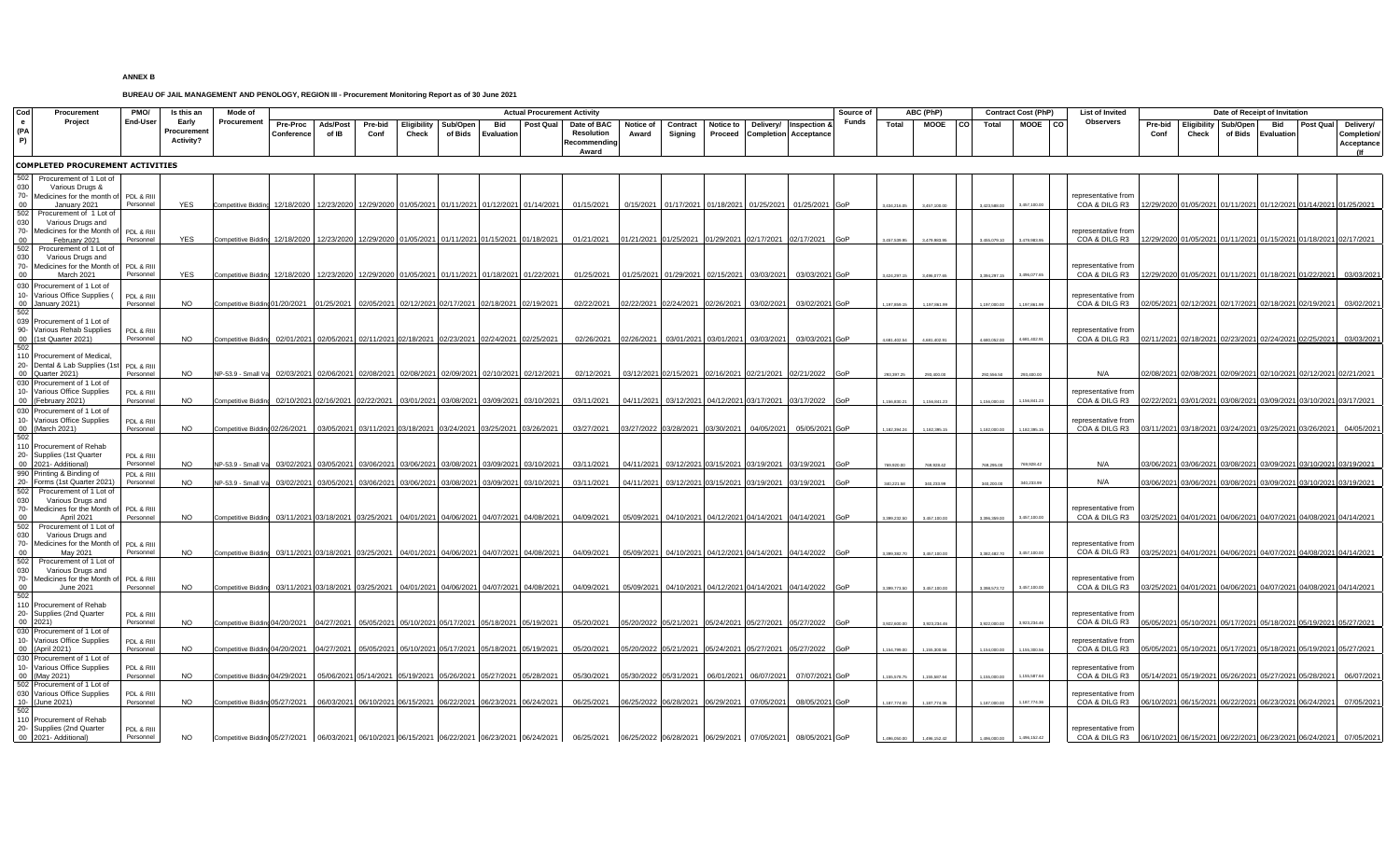## **ANNEX B**

## **BUREAU OF JAIL MANAGEMENT AND PENOLOGY, REGION III - Procurement Monitoring Report as of 30 June 2021**

| Cod                       | Procuremen<br>Project                                                                                                   | PMO/<br><b>End-User</b>              | Is this an<br>Early<br>Procuremen<br><b>Activity?</b> | Mode of<br>Procurement                                                                                                                         |                               | <b>Actual Procurement Activity</b> |                 |                                                                              |                     |                       |            |                                                                                                                                                                                                                                |                    |                                                                      |                  |                       | Source of                                                                    | ABC (PhP) |                          |                              |           | <b>Contract Cost (PhP)</b>  | <b>List of Invited</b>       | Date of Receipt of Invitation                                                                                            |                 |       |                                 |                                                        |           |                                                                                 |
|---------------------------|-------------------------------------------------------------------------------------------------------------------------|--------------------------------------|-------------------------------------------------------|------------------------------------------------------------------------------------------------------------------------------------------------|-------------------------------|------------------------------------|-----------------|------------------------------------------------------------------------------|---------------------|-----------------------|------------|--------------------------------------------------------------------------------------------------------------------------------------------------------------------------------------------------------------------------------|--------------------|----------------------------------------------------------------------|------------------|-----------------------|------------------------------------------------------------------------------|-----------|--------------------------|------------------------------|-----------|-----------------------------|------------------------------|--------------------------------------------------------------------------------------------------------------------------|-----------------|-------|---------------------------------|--------------------------------------------------------|-----------|---------------------------------------------------------------------------------|
| $\mathbf{e}$<br>(PA<br>P) |                                                                                                                         |                                      |                                                       |                                                                                                                                                | <b>Pre-Proc</b><br>Conference | Ads/Post<br>of IB                  | Pre-bid<br>Conf | Eligibility<br>Check                                                         | Sub/Open<br>of Bids | Bid<br>Evaluation     | Post Qual  | Date of BAC<br>Resolution<br>Recommending<br>Award                                                                                                                                                                             | Notice of<br>Award | Contract<br>Signing                                                  | <b>Notice to</b> | Delivery/             | <b>Inspection &amp;</b><br><b>Proceed Completion Acceptance</b>              | Funds     | Total                    | <b>MOOE</b>                  | <b>CO</b> | Total                       | MOOE CO                      | Observers                                                                                                                | Pre-bid<br>Conf | Check | Eligibility Sub/Open<br>of Bids | Bid<br>Evaluation                                      | Post Qual | Delivery/<br>Completion<br>Acceptance                                           |
|                           | <b>COMPLETED PROCUREMENT ACTIVITIES</b>                                                                                 |                                      |                                                       |                                                                                                                                                |                               |                                    |                 |                                                                              |                     |                       |            |                                                                                                                                                                                                                                |                    |                                                                      |                  |                       |                                                                              |           |                          |                              |           |                             |                              |                                                                                                                          |                 |       |                                 |                                                        |           |                                                                                 |
| 502<br>030<br>00<br>502   | Procurement of 1 Lot of<br>Various Drugs &<br>70- Medicines for the month of<br>January 2021<br>Procurement of 1 Lot of | PDL & RIII<br>Personnel              | YES                                                   | <b>Competitive Bidding</b>                                                                                                                     | 12/18/2020                    | 12/23/2020                         |                 | 12/29/2020 01/05/2021                                                        |                     | 01/11/2021 01/12/2021 | 01/14/2021 | 01/15/2021                                                                                                                                                                                                                     |                    | 0/15/2021 01/17/2021 01/18/2021 01/25/2021                           |                  |                       | 01/25/2021 GoP                                                               |           | 3,434,216.05             | 3.457.100.00                 |           | 3.423.588.00                | 3.457.100.00                 | epresentative from<br>COA & DILG R3 12/29/2020 01/05/2021 01/11/2021 01/12/2021 01/14/2021 01/25/2021                    |                 |       |                                 |                                                        |           |                                                                                 |
| 030<br>nn<br>502          | Various Drugs and<br>70- Medicines for the Month of<br>February 2021<br>Procurement of 1 Lot of                         | PDL & RIII<br>Personnel              | YES                                                   | Competitive Bidding 12/18/2020 12/23/2020                                                                                                      |                               |                                    |                 | 12/29/2020 01/05/2021 01/11/2021 01/15/2021 01/18/2021                       |                     |                       |            | 01/21/2021                                                                                                                                                                                                                     |                    |                                                                      |                  |                       | 01/21/2021 01/25/2021 01/29/2021 02/17/2021 02/17/2021 GoP                   |           | 457.539.95               | 3,479,983.95                 |           | 3.455.079.10                | 3,479,983.95                 | representative from<br>COA & DILG R3 12/29/2020 01/05/2021 01/11/2021 01/15/2021 01/18/2021 02/17/2021                   |                 |       |                                 |                                                        |           |                                                                                 |
| 030                       | Various Drugs and<br>70- Medicines for the Month of<br>March 2021<br>030 Procurement of 1 Lot of                        | PDL & RIII<br>Personnel              | <b>YES</b>                                            | Competitive Bidding 12/18/2020 12/23/2020                                                                                                      |                               |                                    |                 | 12/29/2020 01/05/2021 01/11/2021 01/18/2021 01/22/2021                       |                     |                       |            | 01/25/2021                                                                                                                                                                                                                     |                    | 01/25/2021 01/29/2021 02/15/2021 03/03/2021                          |                  |                       | 03/03/2021 GoP                                                               |           |                          | 3.496.077.65                 |           | 1 104 207 11                | 3.496.077.65                 | representative from<br>COA & DILG R3   12/29/2020 01/05/2021 01/11/2021 01/18/2021 01/22/2021                            |                 |       |                                 |                                                        |           | 03/03/2021                                                                      |
|                           | 10- Various Office Supplies (<br>00 January 2021)<br>039 Procurement of 1 Lot of                                        | PDL & RIII<br>Personnel              | NO.                                                   | Competitive Bidding 01/20/2021                                                                                                                 |                               | 01/25/2021                         |                 | 02/05/2021 02/12/2021 02/17/2021 02/18/2021 02/19/2021                       |                     |                       |            | 02/22/2021                                                                                                                                                                                                                     |                    | 02/22/2021 02/24/2021                                                | 02/26/2021       | 03/02/2021            | 03/02/2021 GoP                                                               |           |                          | 1 197 861 99                 |           |                             | 11978619                     | representative from<br>COA & DILG R3                                                                                     |                 |       |                                 | 02/05/2021 02/12/2021 02/17/2021 02/18/2021 02/19/2021 |           | 03/02/2021                                                                      |
|                           | 90- Various Rehab Supplies<br>00 (1st Quarter 2021)<br>110 Procurement of Medical                                       | PDL & RIII<br>Personnel              | NO.                                                   | Competitive Bidding 02/01/2021 02/05/2021 02/11/2021 02/18/2021 02/23/2021 02/24/2021 02/25/2021                                               |                               |                                    |                 |                                                                              |                     |                       |            | 02/26/2021                                                                                                                                                                                                                     |                    | 02/26/2021 03/01/2021 03/01/2021 03/03/2021                          |                  |                       | 03/03/2021 GoP                                                               |           | 4.681.402.54             | 4,681,402.91                 |           | 4.680.052.0                 | 4.681.402.91                 | representative from<br>COA & DILG R3 02/11/2021 02/18/2021 02/23/2021 02/24/2021 02/25/2021                              |                 |       |                                 |                                                        |           | 03/03/2021                                                                      |
| nn<br>030                 | 20- Dental & Lab Supplies (1s<br>Quarter 2021)<br>Procurement of 1 Lot of<br>10- Various Office Supplies                | PDL & RIII<br>Personne<br>PDL & RIII | <b>NO</b>                                             | NP-53.9 - Small Va                                                                                                                             |                               |                                    |                 | 02/03/2021 02/06/2021 02/08/2021 02/08/2021 02/09/2021 02/10/2021 02/12/2021 |                     |                       |            | 02/12/2021                                                                                                                                                                                                                     |                    | 03/12/2021 02/15/2021 02/16/2021 02/21/2021                          |                  |                       | 02/21/2022 GoP                                                               |           |                          | 293,400.00                   |           |                             |                              | N/A<br>representative from                                                                                               |                 |       |                                 |                                                        |           | 02/08/2021 02/08/2021 02/09/2021 02/10/2021 02/12/2021 02/21/2021               |
| 0 <sup>0</sup>            | (February 2021)<br>030 Procurement of 1 Lot of<br>10- Various Office Supplies<br>00 (March 2021)                        | Personne<br>PDL & RIII<br>Personne   | <b>NO</b><br><b>NO</b>                                | Competitive Bidding<br>Competitive Bidding 02/26/2021 03/05/2021                                                                               | 02/10/2021                    | 02/16/2021                         | 02/22/2021      | 03/01/2021<br>03/11/2021 03/18/2021 03/24/2021 03/25/2021 03/26/2021         |                     | 03/08/2021 03/09/2021 | 03/10/2021 | 03/11/2021<br>03/27/2021                                                                                                                                                                                                       |                    | 04/11/2021 03/12/2021 04/12/2021 03/17/2021<br>03/27/2022 03/28/2021 |                  | 03/30/2021 04/05/2021 | 03/17/2022<br>05/05/2021 GoP                                                 |           | ,156,830.21              | 1,156,841.23                 |           |                             | 1.156.841.23<br>118239515    | COA & DILG R3<br>representative from<br>COA & DILG R3 03/11/2021 03/18/2021 03/24/2021 03/25/2021 03/26/2021             |                 |       |                                 |                                                        |           | 02/22/2021 03/01/2021 03/08/2021 03/09/2021 03/10/2021 03/17/2021<br>04/05/2021 |
|                           | 110 Procurement of Rehab<br>20- Supplies (1st Quarter<br>00 2021- Additional)                                           | PDL & RIII<br>Personnel              | NO.                                                   | NP-53.9 - Small Va                                                                                                                             | 03/02/2021                    | 03/05/2021                         |                 | 03/06/2021 03/06/2021                                                        | 03/08/2021          | 03/09/2021            | 03/10/2021 | 03/11/2021                                                                                                                                                                                                                     |                    | 04/11/2021 03/12/2021 03/15/2021 03/19/2021                          |                  |                       | 03/19/2021 GoP                                                               |           |                          | 769 928 42                   |           |                             |                              | N/A                                                                                                                      |                 |       |                                 |                                                        |           | 03/06/2021 03/06/2021 03/08/2021 03/09/2021 03/10/2021 03/19/2021               |
| 502<br>030                | 990 Printing & Binding of<br>Forms (1st Quarter 2021<br>Procurement of 1 Lot of<br>Various Drugs and                    | PDL & RIII<br>Personnel              | <b>NO</b>                                             | NP-53.9 - Small Va                                                                                                                             | 03/02/202                     | 03/05/2021                         | 03/06/2021      | 03/06/2021                                                                   | 03/08/2021          | 03/09/2021            | 03/10/2021 | 03/11/2021                                                                                                                                                                                                                     |                    | 04/11/2021 03/12/2021                                                |                  | 03/15/2021 03/19/2021 | 03/19/2021 GoP                                                               |           | 340.221.58               | 340.233.99                   |           |                             | 340.233.99                   | N/A                                                                                                                      |                 |       |                                 |                                                        |           | 03/06/2021 03/06/2021 03/08/2021 03/09/2021 03/10/2021 03/19/2021               |
| 502<br>030                | 70- Medicines for the Month of<br>April 2021<br>Procurement of 1 Lot of<br>Various Drugs and                            | PDL & RIII<br>Personne               | NO.                                                   | Competitive Bidding 03/11/2021 03/18/2021 03/25/2021 04/01/2021 04/06/2021 04/07/2021 04/08/2021                                               |                               |                                    |                 |                                                                              |                     |                       |            | 04/09/2021                                                                                                                                                                                                                     |                    |                                                                      |                  |                       | 05/09/2021 04/10/2021 04/12/2021 04/14/2021 04/14/2021 GoP                   |           |                          | 3.457.100.00                 |           | 3.396.359.00                | 3.457.100.00                 | representative from<br>COA & DILG R3   03/25/2021 04/01/2021 04/06/2021 04/07/2021 04/08/2021 04/14/2021                 |                 |       |                                 |                                                        |           |                                                                                 |
| nn<br>502<br>030          | 70- Medicines for the Month o<br>May 2021<br>Procurement of 1 Lot of<br>Various Drugs and                               | PDL & RIII<br>Personnel              | <b>NO</b>                                             | Competitive Bidding 03/11/2021 03/18/2021 03/25/2021 04/01/2021 04/06/2021 04/07/2021 04/08/2021                                               |                               |                                    |                 |                                                                              |                     |                       |            | 04/09/2021                                                                                                                                                                                                                     |                    |                                                                      |                  |                       | 05/09/2021 04/10/2021 04/12/2021 04/14/2021 04/14/2022 GoP                   |           | 3.399.382.70             | 3.457.100.00                 |           | 3.382.482.70                | 3.457,100.00                 | representative from<br>COA & DILG R3 03/25/2021 04/01/2021 04/06/2021 04/07/2021 04/08/2021 04/14/2021                   |                 |       |                                 |                                                        |           |                                                                                 |
| ററ                        | 70- Medicines for the Month of<br>June 2021<br>110 Procurement of Rehab                                                 | PDL & RIII<br>Personne               | NO.                                                   | <b>Competitive Bidding</b>                                                                                                                     |                               |                                    |                 | 03/11/2021 03/18/2021 03/25/2021 04/01/2021 04/06/2021 04/07/2021 04/08/2021 |                     |                       |            | 04/09/2021                                                                                                                                                                                                                     |                    |                                                                      |                  |                       | 05/09/2021 04/10/2021 04/12/2021 04/14/2021 04/14/2022 GoP                   |           |                          |                              |           |                             |                              | representative from<br>COA & DILG R3                                                                                     |                 |       |                                 |                                                        |           | 03/25/2021 04/01/2021 04/06/2021 04/07/2021 04/08/2021 04/14/2021               |
|                           | 20- Supplies (2nd Quarter<br>030 Procurement of 1 Lot of<br>10- Various Office Supplies                                 | PDL & RIII<br>Personne<br>PDL & RIII | <b>NO</b><br><b>NO</b>                                | Competitive Bidding 04/20/2021   04/27/2021   05/05/2021   05/10/2021   05/17/2021   05/18/2021   05/19/2021                                   |                               |                                    |                 |                                                                              |                     |                       |            | 05/20/2021                                                                                                                                                                                                                     |                    |                                                                      |                  |                       | 05/20/2022 05/21/2021 05/24/2021 05/27/2021 05/27/2022 GoP                   |           | 1922.600.00              | 3,923,234.46                 |           |                             | 3,923,234.46                 | representative from<br>COA & DILG R3<br>representative from                                                              |                 |       |                                 |                                                        |           | 05/05/2021 05/10/2021 05/17/2021 05/18/2021 05/19/2021 05/27/2021               |
|                           | 00 (April 2021)<br>030 Procurement of 1 Lot of<br>10- Various Office Supplies<br>00 (May 2021)                          | Personnel<br>PDL & RIII<br>Personnel | <b>NO</b>                                             | Competitive Bidding 04/20/2021   04/27/2021   05/05/2021   05/10/2021   05/17/2021   05/18/2021   05/19/2021<br>Competitive Bidding 04/29/2021 |                               |                                    |                 | 05/06/2021 05/14/2021 05/19/2021 05/26/2021 05/27/2021 05/28/2021            |                     |                       |            | 05/20/2021<br>05/30/2021                                                                                                                                                                                                       |                    | 05/30/2022 05/31/2021                                                |                  | 06/01/2021 06/07/2021 | 05/20/2022 05/21/2021 05/24/2021 05/27/2021 05/27/2022 GoP<br>07/07/2021 GoP |           | 154,799.00<br>155,578.75 | 1,155,300.56<br>1,155,587.64 |           | 1.154.000.00<br>1.155.000.0 | 1,155,300.56<br>1,155,587.64 | COA & DILG R3  05/05/2021 05/10/2021 05/17/2021 05/18/2021 05/19/2021 05/27/2021<br>representative from<br>COA & DILG R3 |                 |       |                                 | 05/14/2021 05/19/2021 05/26/2021 05/27/2021 05/28/2021 |           | 06/07/2021                                                                      |
| $10 -$                    | 502 Procurement of 1 Lot of<br>030 Various Office Supplies<br>(June 2021)<br>110 Procurement of Rehab                   | PDL & RIII<br>Personne               | NO.                                                   | Competitive Bidding 05/27/2021   06/03/2021   06/10/2021   06/15/2021   06/22/2021   06/23/2021   06/24/2021                                   |                               |                                    |                 |                                                                              |                     |                       |            | 06/25/2021                                                                                                                                                                                                                     |                    | 06/25/2022 06/28/2021 06/29/2021 07/05/2021                          |                  |                       | 08/05/2021 GoP                                                               |           | 187,774.00               | 1.187.774.36                 |           |                             |                              | representative from                                                                                                      |                 |       |                                 |                                                        |           | 07/05/2021                                                                      |
|                           | 20- Supplies (2nd Quarter<br>00 2021- Additional)                                                                       | PDL & RIII<br>Personnel              | <b>NO</b>                                             |                                                                                                                                                |                               |                                    |                 |                                                                              |                     |                       |            | Competitive Biddind 05/27/2021   06/03/2021   06/10/2021   06/15/2021   06/22/2021   06/23/2021   06/24/2021   06/25/2021   06/25/2022   06/28/2021   06/29/2021   07/05/2021   07/05/2021   08/05/2021   08/05/2021   07/05/2 |                    |                                                                      |                  |                       |                                                                              |           | 1,496,050.00             | 1,496,152.42                 |           | 1,496,000.00                | 1,496,152.42                 | representative from                                                                                                      |                 |       |                                 |                                                        |           |                                                                                 |